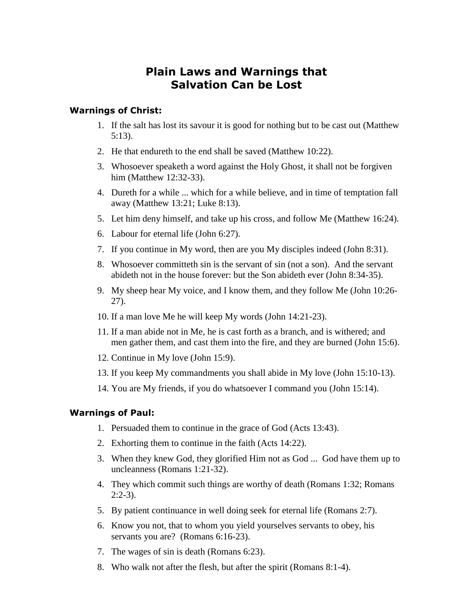# **Plain Laws and Warnings that Salvation Can be Lost**

## **Warnings of Christ:**

- 1. If the salt has lost its savour it is good for nothing but to be cast out (Matthew 5:13).
- 2. He that endureth to the end shall be saved (Matthew 10:22).
- 3. Whosoever speaketh a word against the Holy Ghost, it shall not be forgiven him (Matthew 12:32-33).
- 4. Dureth for a while ... which for a while believe, and in time of temptation fall away (Matthew 13:21; Luke 8:13).
- 5. Let him deny himself, and take up his cross, and follow Me (Matthew 16:24).
- 6. Labour for eternal life (John 6:27).
- 7. If you continue in My word, then are you My disciples indeed (John 8:31).
- 8. Whosoever committeth sin is the servant of sin (not a son). And the servant abideth not in the house forever: but the Son abideth ever (John 8:34-35).
- 9. My sheep hear My voice, and I know them, and they follow Me (John 10:26- 27).
- 10. If a man love Me he will keep My words (John 14:21-23).
- 11. If a man abide not in Me, he is cast forth as a branch, and is withered; and men gather them, and cast them into the fire, and they are burned (John 15:6).
- 12. Continue in My love (John 15:9).
- 13. If you keep My commandments you shall abide in My love (John 15:10-13).
- 14. You are My friends, if you do whatsoever I command you (John 15:14).

## **Warnings of Paul:**

- 1. Persuaded them to continue in the grace of God (Acts 13:43).
- 2. Exhorting them to continue in the faith (Acts 14:22).
- 3. When they knew God, they glorified Him not as God ... God have them up to uncleanness (Romans 1:21-32).
- 4. They which commit such things are worthy of death (Romans 1:32; Romans  $2:2-3$ ).
- 5. By patient continuance in well doing seek for eternal life (Romans 2:7).
- 6. Know you not, that to whom you yield yourselves servants to obey, his servants you are? (Romans 6:16-23).
- 7. The wages of sin is death (Romans 6:23).
- 8. Who walk not after the flesh, but after the spirit (Romans 8:1-4).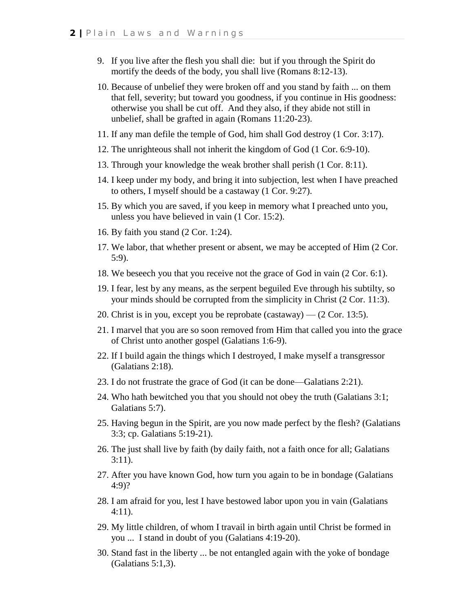- 9. If you live after the flesh you shall die: but if you through the Spirit do mortify the deeds of the body, you shall live (Romans 8:12-13).
- 10. Because of unbelief they were broken off and you stand by faith ... on them that fell, severity; but toward you goodness, if you continue in His goodness: otherwise you shall be cut off. And they also, if they abide not still in unbelief, shall be grafted in again (Romans 11:20-23).
- 11. If any man defile the temple of God, him shall God destroy (1 Cor. 3:17).
- 12. The unrighteous shall not inherit the kingdom of God (1 Cor. 6:9-10).
- 13. Through your knowledge the weak brother shall perish (1 Cor. 8:11).
- 14. I keep under my body, and bring it into subjection, lest when I have preached to others, I myself should be a castaway (1 Cor. 9:27).
- 15. By which you are saved, if you keep in memory what I preached unto you, unless you have believed in vain (1 Cor. 15:2).
- 16. By faith you stand (2 Cor. 1:24).
- 17. We labor, that whether present or absent, we may be accepted of Him (2 Cor. 5:9).
- 18. We beseech you that you receive not the grace of God in vain (2 Cor. 6:1).
- 19. I fear, lest by any means, as the serpent beguiled Eve through his subtilty, so your minds should be corrupted from the simplicity in Christ (2 Cor. 11:3).
- 20. Christ is in you, except you be reprobate (castaway) (2 Cor. 13:5).
- 21. I marvel that you are so soon removed from Him that called you into the grace of Christ unto another gospel (Galatians 1:6-9).
- 22. If I build again the things which I destroyed, I make myself a transgressor (Galatians 2:18).
- 23. I do not frustrate the grace of God (it can be done—Galatians 2:21).
- 24. Who hath bewitched you that you should not obey the truth (Galatians 3:1; Galatians 5:7).
- 25. Having begun in the Spirit, are you now made perfect by the flesh? (Galatians 3:3; cp. Galatians 5:19-21).
- 26. The just shall live by faith (by daily faith, not a faith once for all; Galatians 3:11).
- 27. After you have known God, how turn you again to be in bondage (Galatians 4:9)?
- 28. I am afraid for you, lest I have bestowed labor upon you in vain (Galatians 4:11).
- 29. My little children, of whom I travail in birth again until Christ be formed in you ... I stand in doubt of you (Galatians 4:19-20).
- 30. Stand fast in the liberty ... be not entangled again with the yoke of bondage (Galatians 5:1,3).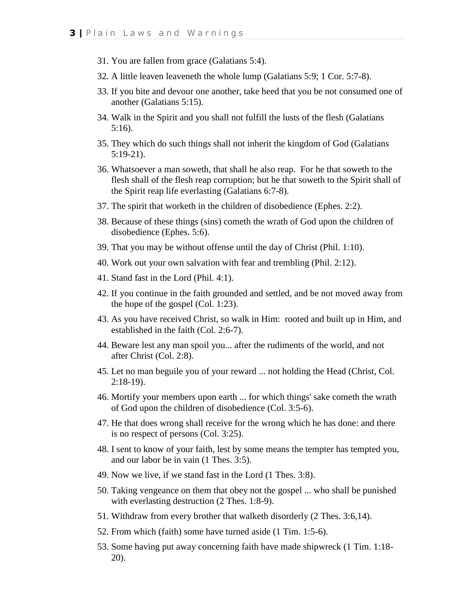- 31. You are fallen from grace (Galatians 5:4).
- 32. A little leaven leaveneth the whole lump (Galatians 5:9; 1 Cor. 5:7-8).
- 33. If you bite and devour one another, take heed that you be not consumed one of another (Galatians 5:15).
- 34. Walk in the Spirit and you shall not fulfill the lusts of the flesh (Galatians 5:16).
- 35. They which do such things shall not inherit the kingdom of God (Galatians 5:19-21).
- 36. Whatsoever a man soweth, that shall he also reap. For he that soweth to the flesh shall of the flesh reap corruption; but he that soweth to the Spirit shall of the Spirit reap life everlasting (Galatians 6:7-8).
- 37. The spirit that worketh in the children of disobedience (Ephes. 2:2).
- 38. Because of these things (sins) cometh the wrath of God upon the children of disobedience (Ephes. 5:6).
- 39. That you may be without offense until the day of Christ (Phil. 1:10).
- 40. Work out your own salvation with fear and trembling (Phil. 2:12).
- 41. Stand fast in the Lord (Phil. 4:1).
- 42. If you continue in the faith grounded and settled, and be not moved away from the hope of the gospel (Col. 1:23).
- 43. As you have received Christ, so walk in Him: rooted and built up in Him, and established in the faith (Col. 2:6-7).
- 44. Beware lest any man spoil you... after the rudiments of the world, and not after Christ (Col. 2:8).
- 45. Let no man beguile you of your reward ... not holding the Head (Christ, Col. 2:18-19).
- 46. Mortify your members upon earth ... for which things' sake cometh the wrath of God upon the children of disobedience (Col. 3:5-6).
- 47. He that does wrong shall receive for the wrong which he has done: and there is no respect of persons (Col. 3:25).
- 48. I sent to know of your faith, lest by some means the tempter has tempted you, and our labor be in vain (1 Thes. 3:5).
- 49. Now we live, if we stand fast in the Lord (1 Thes. 3:8).
- 50. Taking vengeance on them that obey not the gospel ... who shall be punished with everlasting destruction  $(2$  Thes. 1:8-9).
- 51. Withdraw from every brother that walketh disorderly (2 Thes. 3:6,14).
- 52. From which (faith) some have turned aside (1 Tim. 1:5-6).
- 53. Some having put away concerning faith have made shipwreck (1 Tim. 1:18- 20).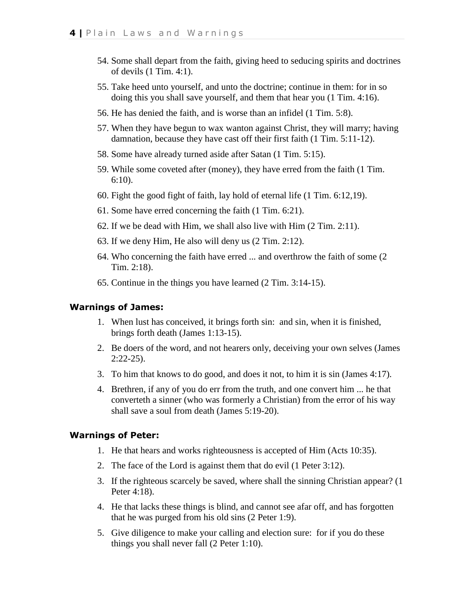- 54. Some shall depart from the faith, giving heed to seducing spirits and doctrines of devils (1 Tim. 4:1).
- 55. Take heed unto yourself, and unto the doctrine; continue in them: for in so doing this you shall save yourself, and them that hear you (1 Tim. 4:16).
- 56. He has denied the faith, and is worse than an infidel (1 Tim. 5:8).
- 57. When they have begun to wax wanton against Christ, they will marry; having damnation, because they have cast off their first faith (1 Tim. 5:11-12).
- 58. Some have already turned aside after Satan (1 Tim. 5:15).
- 59. While some coveted after (money), they have erred from the faith (1 Tim. 6:10).
- 60. Fight the good fight of faith, lay hold of eternal life (1 Tim. 6:12,19).
- 61. Some have erred concerning the faith (1 Tim. 6:21).
- 62. If we be dead with Him, we shall also live with Him (2 Tim. 2:11).
- 63. If we deny Him, He also will deny us (2 Tim. 2:12).
- 64. Who concerning the faith have erred ... and overthrow the faith of some (2 Tim. 2:18).
- 65. Continue in the things you have learned (2 Tim. 3:14-15).

#### **Warnings of James:**

- 1. When lust has conceived, it brings forth sin: and sin, when it is finished, brings forth death (James 1:13-15).
- 2. Be doers of the word, and not hearers only, deceiving your own selves (James 2:22-25).
- 3. To him that knows to do good, and does it not, to him it is sin (James 4:17).
- 4. Brethren, if any of you do err from the truth, and one convert him ... he that converteth a sinner (who was formerly a Christian) from the error of his way shall save a soul from death (James 5:19-20).

### **Warnings of Peter:**

- 1. He that hears and works righteousness is accepted of Him (Acts 10:35).
- 2. The face of the Lord is against them that do evil (1 Peter 3:12).
- 3. If the righteous scarcely be saved, where shall the sinning Christian appear? (1 Peter 4:18).
- 4. He that lacks these things is blind, and cannot see afar off, and has forgotten that he was purged from his old sins (2 Peter 1:9).
- 5. Give diligence to make your calling and election sure: for if you do these things you shall never fall (2 Peter 1:10).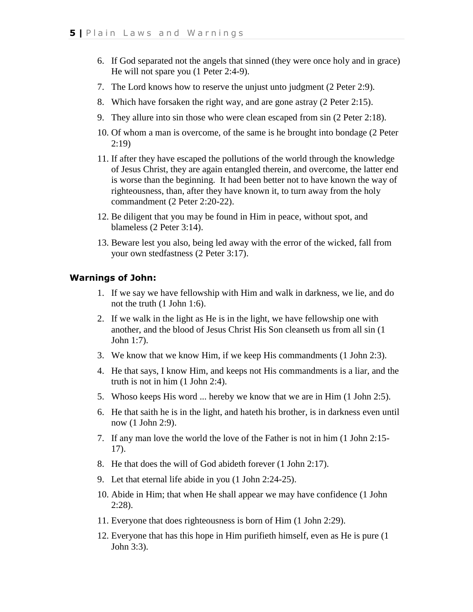- 6. If God separated not the angels that sinned (they were once holy and in grace) He will not spare you (1 Peter 2:4-9).
- 7. The Lord knows how to reserve the unjust unto judgment (2 Peter 2:9).
- 8. Which have forsaken the right way, and are gone astray (2 Peter 2:15).
- 9. They allure into sin those who were clean escaped from sin (2 Peter 2:18).
- 10. Of whom a man is overcome, of the same is he brought into bondage (2 Peter 2:19)
- 11. If after they have escaped the pollutions of the world through the knowledge of Jesus Christ, they are again entangled therein, and overcome, the latter end is worse than the beginning. It had been better not to have known the way of righteousness, than, after they have known it, to turn away from the holy commandment (2 Peter 2:20-22).
- 12. Be diligent that you may be found in Him in peace, without spot, and blameless (2 Peter 3:14).
- 13. Beware lest you also, being led away with the error of the wicked, fall from your own stedfastness (2 Peter 3:17).

## **Warnings of John:**

- 1. If we say we have fellowship with Him and walk in darkness, we lie, and do not the truth (1 John 1:6).
- 2. If we walk in the light as He is in the light, we have fellowship one with another, and the blood of Jesus Christ His Son cleanseth us from all sin (1 John 1:7).
- 3. We know that we know Him, if we keep His commandments (1 John 2:3).
- 4. He that says, I know Him, and keeps not His commandments is a liar, and the truth is not in him (1 John 2:4).
- 5. Whoso keeps His word ... hereby we know that we are in Him (1 John 2:5).
- 6. He that saith he is in the light, and hateth his brother, is in darkness even until now (1 John 2:9).
- 7. If any man love the world the love of the Father is not in him (1 John 2:15- 17).
- 8. He that does the will of God abideth forever (1 John 2:17).
- 9. Let that eternal life abide in you (1 John 2:24-25).
- 10. Abide in Him; that when He shall appear we may have confidence (1 John 2:28).
- 11. Everyone that does righteousness is born of Him (1 John 2:29).
- 12. Everyone that has this hope in Him purifieth himself, even as He is pure (1 John 3:3).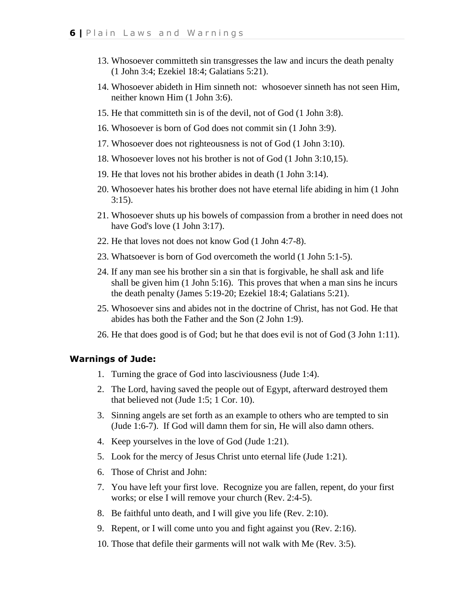- 13. Whosoever committeth sin transgresses the law and incurs the death penalty (1 John 3:4; Ezekiel 18:4; Galatians 5:21).
- 14. Whosoever abideth in Him sinneth not: whosoever sinneth has not seen Him, neither known Him (1 John 3:6).
- 15. He that committeth sin is of the devil, not of God (1 John 3:8).
- 16. Whosoever is born of God does not commit sin (1 John 3:9).
- 17. Whosoever does not righteousness is not of God (1 John 3:10).
- 18. Whosoever loves not his brother is not of God (1 John 3:10,15).
- 19. He that loves not his brother abides in death (1 John 3:14).
- 20. Whosoever hates his brother does not have eternal life abiding in him (1 John 3:15).
- 21. Whosoever shuts up his bowels of compassion from a brother in need does not have God's love (1 John 3:17).
- 22. He that loves not does not know God (1 John 4:7-8).
- 23. Whatsoever is born of God overcometh the world (1 John 5:1-5).
- 24. If any man see his brother sin a sin that is forgivable, he shall ask and life shall be given him (1 John 5:16). This proves that when a man sins he incurs the death penalty (James 5:19-20; Ezekiel 18:4; Galatians 5:21).
- 25. Whosoever sins and abides not in the doctrine of Christ, has not God. He that abides has both the Father and the Son (2 John 1:9).
- 26. He that does good is of God; but he that does evil is not of God (3 John 1:11).

#### **Warnings of Jude:**

- 1. Turning the grace of God into lasciviousness (Jude 1:4).
- 2. The Lord, having saved the people out of Egypt, afterward destroyed them that believed not (Jude 1:5; 1 Cor. 10).
- 3. Sinning angels are set forth as an example to others who are tempted to sin (Jude 1:6-7). If God will damn them for sin, He will also damn others.
- 4. Keep yourselves in the love of God (Jude 1:21).
- 5. Look for the mercy of Jesus Christ unto eternal life (Jude 1:21).
- 6. Those of Christ and John:
- 7. You have left your first love. Recognize you are fallen, repent, do your first works; or else I will remove your church (Rev. 2:4-5).
- 8. Be faithful unto death, and I will give you life (Rev. 2:10).
- 9. Repent, or I will come unto you and fight against you (Rev. 2:16).
- 10. Those that defile their garments will not walk with Me (Rev. 3:5).